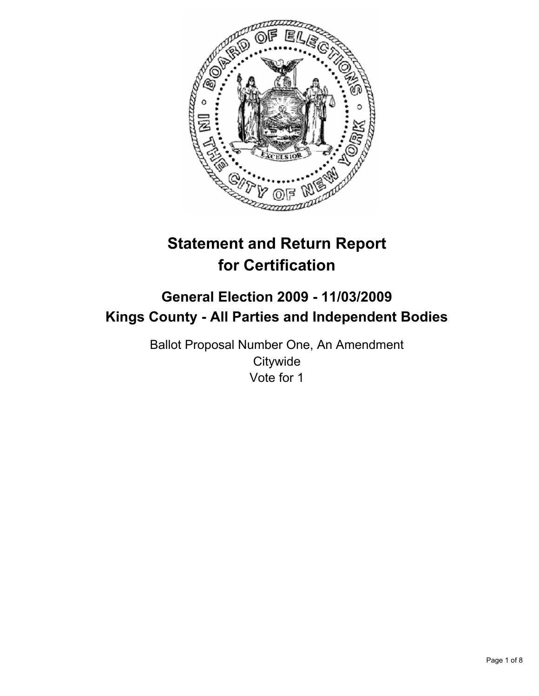

# **Statement and Return Report for Certification**

## **General Election 2009 - 11/03/2009 Kings County - All Parties and Independent Bodies**

Ballot Proposal Number One, An Amendment **Citywide** Vote for 1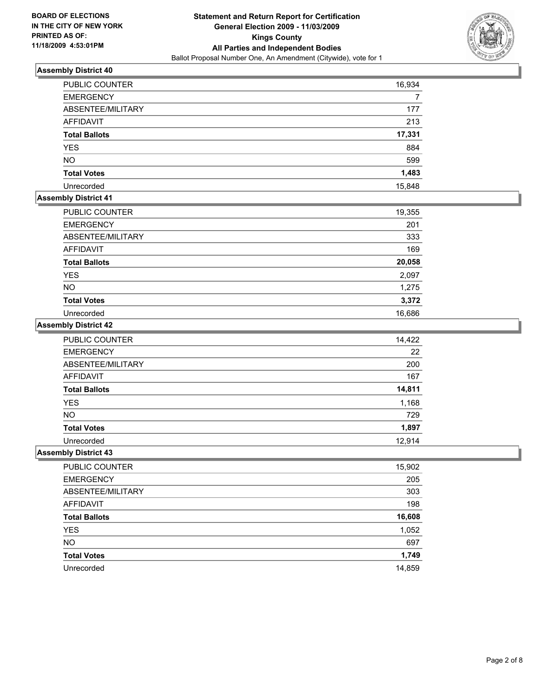

| <b>PUBLIC COUNTER</b> | 16,934 |
|-----------------------|--------|
| <b>EMERGENCY</b>      |        |
| ABSENTEE/MILITARY     | 177    |
| <b>AFFIDAVIT</b>      | 213    |
| <b>Total Ballots</b>  | 17,331 |
| <b>YES</b>            | 884    |
| <b>NO</b>             | 599    |
| <b>Total Votes</b>    | 1,483  |
| Unrecorded            | 15,848 |

### **Assembly District 41**

| PUBLIC COUNTER       | 19,355 |
|----------------------|--------|
| <b>EMERGENCY</b>     | 201    |
| ABSENTEE/MILITARY    | 333    |
| AFFIDAVIT            | 169    |
| <b>Total Ballots</b> | 20,058 |
| <b>YES</b>           | 2,097  |
| <b>NO</b>            | 1,275  |
| <b>Total Votes</b>   | 3,372  |
| Unrecorded           | 16,686 |

### **Assembly District 42**

| PUBLIC COUNTER       | 14,422 |
|----------------------|--------|
| <b>EMERGENCY</b>     | 22     |
| ABSENTEE/MILITARY    | 200    |
| AFFIDAVIT            | 167    |
| <b>Total Ballots</b> | 14,811 |
| <b>YES</b>           | 1,168  |
| <b>NO</b>            | 729    |
| <b>Total Votes</b>   | 1,897  |
| Unrecorded           | 12.914 |

| PUBLIC COUNTER       | 15,902 |
|----------------------|--------|
| <b>EMERGENCY</b>     | 205    |
| ABSENTEE/MILITARY    | 303    |
| AFFIDAVIT            | 198    |
| <b>Total Ballots</b> | 16,608 |
| <b>YES</b>           | 1,052  |
| <b>NO</b>            | 697    |
| <b>Total Votes</b>   | 1,749  |
| Unrecorded           | 14.859 |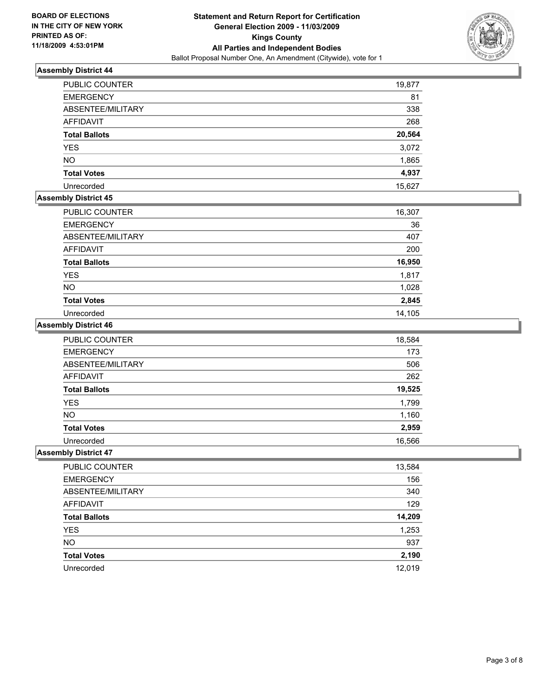

| <b>PUBLIC COUNTER</b> | 19,877 |
|-----------------------|--------|
| <b>EMERGENCY</b>      | 81     |
| ABSENTEE/MILITARY     | 338    |
| <b>AFFIDAVIT</b>      | 268    |
| <b>Total Ballots</b>  | 20,564 |
| <b>YES</b>            | 3,072  |
| <b>NO</b>             | 1,865  |
| <b>Total Votes</b>    | 4,937  |
| Unrecorded            | 15,627 |

#### **Assembly District 45**

| PUBLIC COUNTER       | 16,307 |
|----------------------|--------|
| <b>EMERGENCY</b>     | 36     |
| ABSENTEE/MILITARY    | 407    |
| AFFIDAVIT            | 200    |
| <b>Total Ballots</b> | 16,950 |
| <b>YES</b>           | 1,817  |
| <b>NO</b>            | 1,028  |
| <b>Total Votes</b>   | 2,845  |
| Unrecorded           | 14.105 |

### **Assembly District 46**

| <b>PUBLIC COUNTER</b> | 18,584 |
|-----------------------|--------|
| <b>EMERGENCY</b>      | 173    |
| ABSENTEE/MILITARY     | 506    |
| <b>AFFIDAVIT</b>      | 262    |
| <b>Total Ballots</b>  | 19,525 |
| <b>YES</b>            | 1,799  |
| <b>NO</b>             | 1,160  |
| <b>Total Votes</b>    | 2,959  |
| Unrecorded            | 16,566 |

| PUBLIC COUNTER       | 13,584 |
|----------------------|--------|
| <b>EMERGENCY</b>     | 156    |
| ABSENTEE/MILITARY    | 340    |
| <b>AFFIDAVIT</b>     | 129    |
| <b>Total Ballots</b> | 14,209 |
| YES                  | 1,253  |
| <b>NO</b>            | 937    |
| <b>Total Votes</b>   | 2,190  |
| Unrecorded           | 12,019 |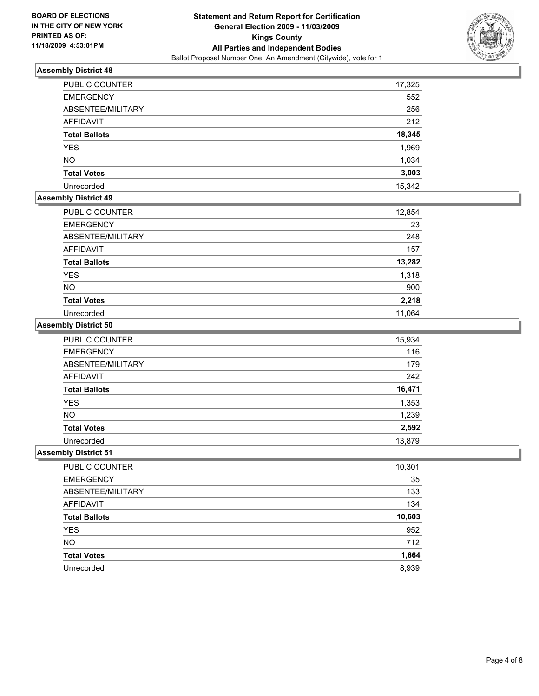

| <b>PUBLIC COUNTER</b> | 17,325 |
|-----------------------|--------|
| <b>EMERGENCY</b>      | 552    |
| ABSENTEE/MILITARY     | 256    |
| AFFIDAVIT             | 212    |
| <b>Total Ballots</b>  | 18,345 |
| <b>YES</b>            | 1,969  |
| <b>NO</b>             | 1,034  |
| <b>Total Votes</b>    | 3,003  |
| Unrecorded            | 15,342 |

#### **Assembly District 49**

| PUBLIC COUNTER       | 12,854 |
|----------------------|--------|
| <b>EMERGENCY</b>     | 23     |
| ABSENTEE/MILITARY    | 248    |
| AFFIDAVIT            | 157    |
| <b>Total Ballots</b> | 13,282 |
| <b>YES</b>           | 1,318  |
| <b>NO</b>            | 900    |
| <b>Total Votes</b>   | 2,218  |
| Unrecorded           | 11,064 |

### **Assembly District 50**

| <b>PUBLIC COUNTER</b> | 15,934 |
|-----------------------|--------|
| <b>EMERGENCY</b>      | 116    |
| ABSENTEE/MILITARY     | 179    |
| <b>AFFIDAVIT</b>      | 242    |
| <b>Total Ballots</b>  | 16,471 |
| <b>YES</b>            | 1,353  |
| <b>NO</b>             | 1,239  |
| <b>Total Votes</b>    | 2,592  |
| Unrecorded            | 13.879 |

| PUBLIC COUNTER       | 10,301 |
|----------------------|--------|
| <b>EMERGENCY</b>     | 35     |
| ABSENTEE/MILITARY    | 133    |
| AFFIDAVIT            | 134    |
| <b>Total Ballots</b> | 10,603 |
| <b>YES</b>           | 952    |
| <b>NO</b>            | 712    |
| <b>Total Votes</b>   | 1,664  |
| Unrecorded           | 8.939  |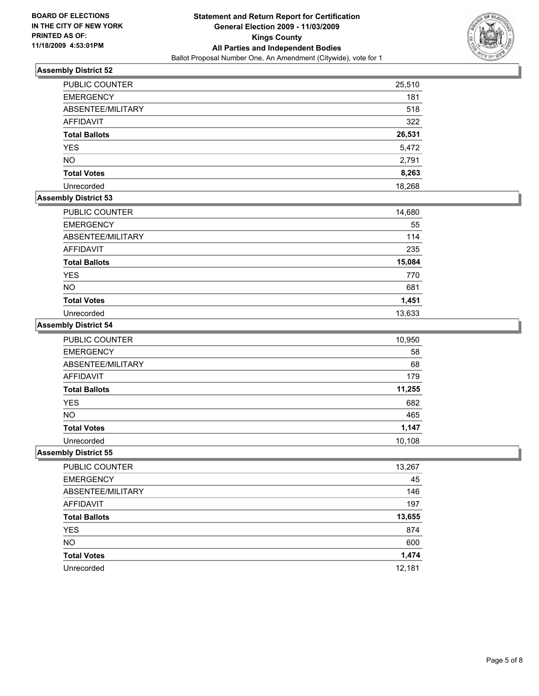

| <b>PUBLIC COUNTER</b> | 25,510 |
|-----------------------|--------|
| <b>EMERGENCY</b>      | 181    |
| ABSENTEE/MILITARY     | 518    |
| <b>AFFIDAVIT</b>      | 322    |
| <b>Total Ballots</b>  | 26,531 |
| <b>YES</b>            | 5,472  |
| <b>NO</b>             | 2,791  |
| <b>Total Votes</b>    | 8,263  |
| Unrecorded            | 18.268 |

### **Assembly District 53**

| <b>PUBLIC COUNTER</b> | 14,680 |
|-----------------------|--------|
| <b>EMERGENCY</b>      | 55     |
| ABSENTEE/MILITARY     | 114    |
| <b>AFFIDAVIT</b>      | 235    |
| <b>Total Ballots</b>  | 15,084 |
| <b>YES</b>            | 770    |
| <b>NO</b>             | 681    |
| <b>Total Votes</b>    | 1,451  |
| Unrecorded            | 13,633 |

### **Assembly District 54**

| PUBLIC COUNTER       | 10,950 |
|----------------------|--------|
| <b>EMERGENCY</b>     | 58     |
| ABSENTEE/MILITARY    | 68     |
| <b>AFFIDAVIT</b>     | 179    |
| <b>Total Ballots</b> | 11,255 |
| <b>YES</b>           | 682    |
| <b>NO</b>            | 465    |
| <b>Total Votes</b>   | 1,147  |
| Unrecorded           | 10,108 |

| PUBLIC COUNTER       | 13,267 |
|----------------------|--------|
| <b>EMERGENCY</b>     | 45     |
| ABSENTEE/MILITARY    | 146    |
| AFFIDAVIT            | 197    |
| <b>Total Ballots</b> | 13,655 |
| YES                  | 874    |
| <b>NO</b>            | 600    |
| <b>Total Votes</b>   | 1,474  |
| Unrecorded           | 12,181 |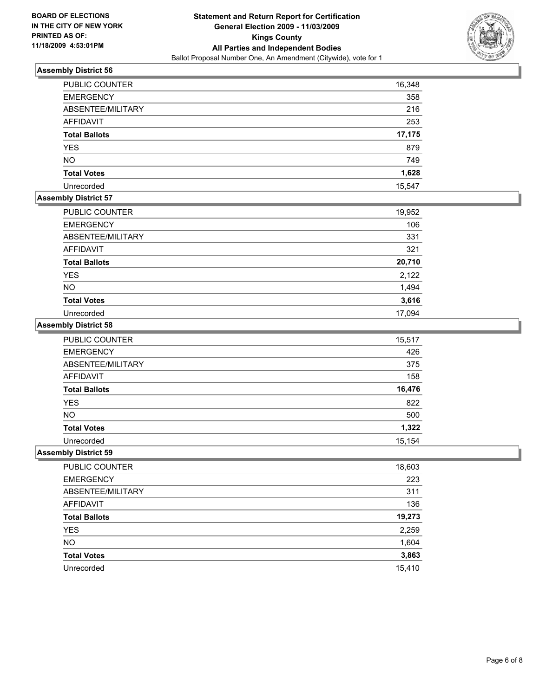

| <b>PUBLIC COUNTER</b> | 16,348 |
|-----------------------|--------|
| <b>EMERGENCY</b>      | 358    |
| ABSENTEE/MILITARY     | 216    |
| AFFIDAVIT             | 253    |
| <b>Total Ballots</b>  | 17,175 |
| <b>YES</b>            | 879    |
| <b>NO</b>             | 749    |
| <b>Total Votes</b>    | 1,628  |
| Unrecorded            | 15,547 |

### **Assembly District 57**

| <b>PUBLIC COUNTER</b> | 19,952 |
|-----------------------|--------|
| <b>EMERGENCY</b>      | 106    |
| ABSENTEE/MILITARY     | 331    |
| AFFIDAVIT             | 321    |
| <b>Total Ballots</b>  | 20,710 |
| <b>YES</b>            | 2,122  |
| <b>NO</b>             | 1,494  |
| <b>Total Votes</b>    | 3,616  |
| Unrecorded            | 17.094 |

#### **Assembly District 58**

| PUBLIC COUNTER       | 15,517 |
|----------------------|--------|
| <b>EMERGENCY</b>     | 426    |
| ABSENTEE/MILITARY    | 375    |
| <b>AFFIDAVIT</b>     | 158    |
| <b>Total Ballots</b> | 16,476 |
| <b>YES</b>           | 822    |
| <b>NO</b>            | 500    |
| <b>Total Votes</b>   | 1,322  |
| Unrecorded           | 15,154 |

| PUBLIC COUNTER       | 18,603 |
|----------------------|--------|
| <b>EMERGENCY</b>     | 223    |
| ABSENTEE/MILITARY    | 311    |
| <b>AFFIDAVIT</b>     | 136    |
| <b>Total Ballots</b> | 19,273 |
| YES                  | 2,259  |
| <b>NO</b>            | 1,604  |
| <b>Total Votes</b>   | 3,863  |
| Unrecorded           | 15,410 |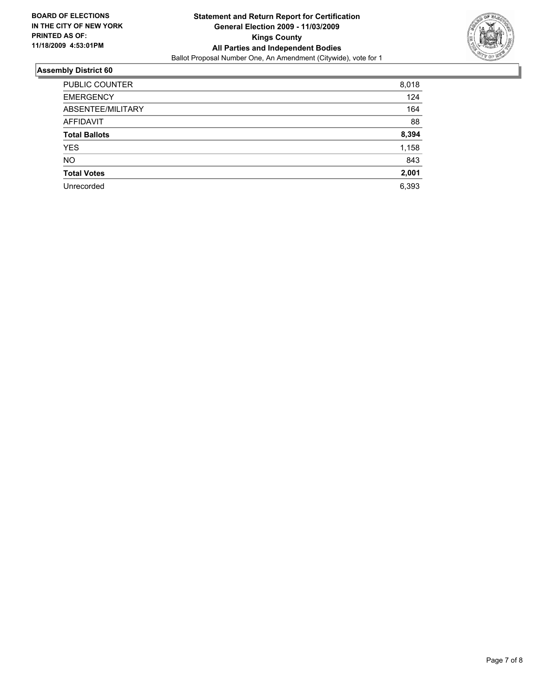

| PUBLIC COUNTER       | 8,018 |
|----------------------|-------|
| <b>EMERGENCY</b>     | 124   |
| ABSENTEE/MILITARY    | 164   |
| <b>AFFIDAVIT</b>     | 88    |
| <b>Total Ballots</b> | 8,394 |
| <b>YES</b>           | 1,158 |
| <b>NO</b>            | 843   |
| <b>Total Votes</b>   | 2,001 |
| Unrecorded           | 6,393 |